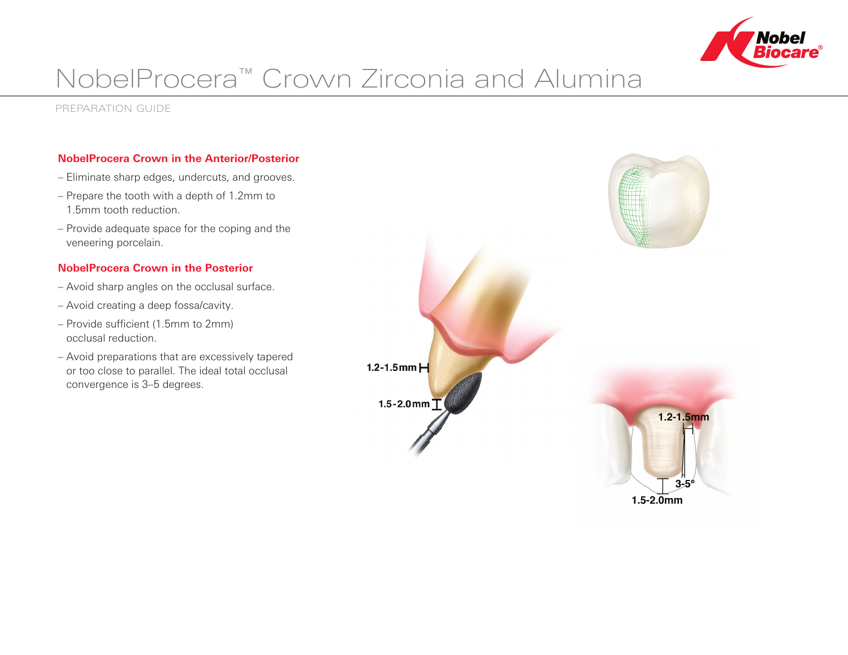

# NobelProcera™ Crown Zirconia and Alumina

Preparation Guide

## **NobelProcera Crown in the Anterior/Posterior**

- Eliminate sharp edges, undercuts, and grooves.
- Prepare the tooth with a depth of 1.2mm to 1.5mm tooth reduction.
- Provide adequate space for the coping and the veneering porcelain.

## **NobelProcera Crown in the Posterior**

- Avoid sharp angles on the occlusal surface.
- Avoid creating a deep fossa/cavity.
- Provide sufficient (1.5mm to 2mm) occlusal reduction.
- Avoid preparations that are excessively tapered or too close to parallel. The ideal total occlusal convergence is 3–5 degrees.



 $1.5 - 2.0$ mm